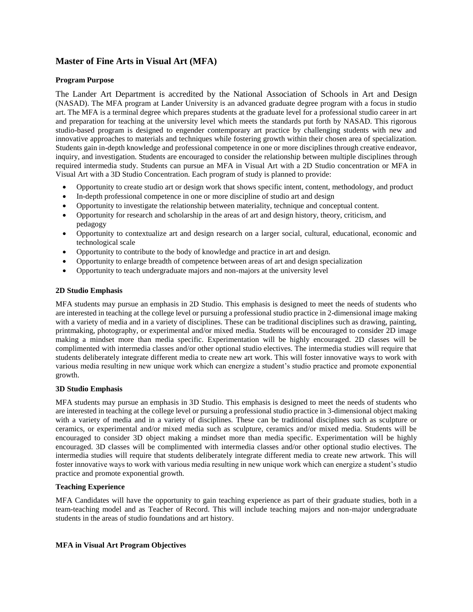# **Master of Fine Arts in Visual Art (MFA)**

### **Program Purpose**

The Lander Art Department is accredited by the National Association of Schools in Art and Design (NASAD). The MFA program at Lander University is an advanced graduate degree program with a focus in studio art. The MFA is a terminal degree which prepares students at the graduate level for a professional studio career in art and preparation for teaching at the university level which meets the standards put forth by NASAD. This rigorous studio-based program is designed to engender contemporary art practice by challenging students with new and innovative approaches to materials and techniques while fostering growth within their chosen area of specialization. Students gain in-depth knowledge and professional competence in one or more disciplines through creative endeavor, inquiry, and investigation. Students are encouraged to consider the relationship between multiple disciplines through required intermedia study. Students can pursue an MFA in Visual Art with a 2D Studio concentration or MFA in Visual Art with a 3D Studio Concentration. Each program of study is planned to provide:

- Opportunity to create studio art or design work that shows specific intent, content, methodology, and product
- In-depth professional competence in one or more discipline of studio art and design
- Opportunity to investigate the relationship between materiality, technique and conceptual content.
- Opportunity for research and scholarship in the areas of art and design history, theory, criticism, and pedagogy
- Opportunity to contextualize art and design research on a larger social, cultural, educational, economic and technological scale
- Opportunity to contribute to the body of knowledge and practice in art and design.
- Opportunity to enlarge breadth of competence between areas of art and design specialization
- Opportunity to teach undergraduate majors and non-majors at the university level

#### **2D Studio Emphasis**

MFA students may pursue an emphasis in 2D Studio. This emphasis is designed to meet the needs of students who are interested in teaching at the college level or pursuing a professional studio practice in 2-dimensional image making with a variety of media and in a variety of disciplines. These can be traditional disciplines such as drawing, painting, printmaking, photography, or experimental and/or mixed media. Students will be encouraged to consider 2D image making a mindset more than media specific. Experimentation will be highly encouraged. 2D classes will be complimented with intermedia classes and/or other optional studio electives. The intermedia studies will require that students deliberately integrate different media to create new art work. This will foster innovative ways to work with various media resulting in new unique work which can energize a student's studio practice and promote exponential growth.

### **3D Studio Emphasis**

MFA students may pursue an emphasis in 3D Studio. This emphasis is designed to meet the needs of students who are interested in teaching at the college level or pursuing a professional studio practice in 3-dimensional object making with a variety of media and in a variety of disciplines. These can be traditional disciplines such as sculpture or ceramics, or experimental and/or mixed media such as sculpture, ceramics and/or mixed media. Students will be encouraged to consider 3D object making a mindset more than media specific. Experimentation will be highly encouraged. 3D classes will be complimented with intermedia classes and/or other optional studio electives. The intermedia studies will require that students deliberately integrate different media to create new artwork. This will foster innovative ways to work with various media resulting in new unique work which can energize a student's studio practice and promote exponential growth.

### **Teaching Experience**

MFA Candidates will have the opportunity to gain teaching experience as part of their graduate studies, both in a team-teaching model and as Teacher of Record. This will include teaching majors and non-major undergraduate students in the areas of studio foundations and art history.

#### **MFA in Visual Art Program Objectives**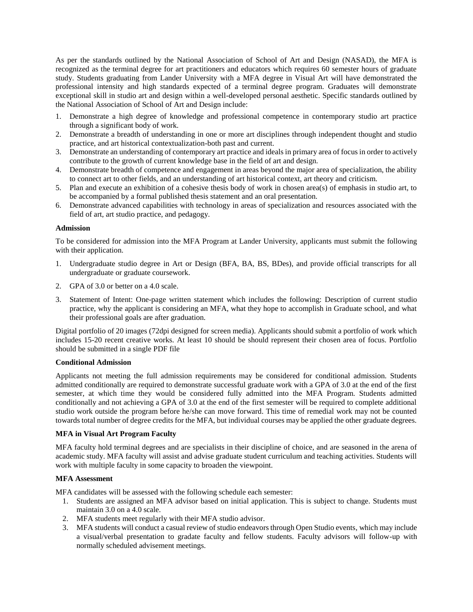As per the standards outlined by the National Association of School of Art and Design (NASAD), the MFA is recognized as the terminal degree for art practitioners and educators which requires 60 semester hours of graduate study. Students graduating from Lander University with a MFA degree in Visual Art will have demonstrated the professional intensity and high standards expected of a terminal degree program. Graduates will demonstrate exceptional skill in studio art and design within a well-developed personal aesthetic. Specific standards outlined by the National Association of School of Art and Design include:

- 1. Demonstrate a high degree of knowledge and professional competence in contemporary studio art practice through a significant body of work.
- 2. Demonstrate a breadth of understanding in one or more art disciplines through independent thought and studio practice, and art historical contextualization-both past and current.
- 3. Demonstrate an understanding of contemporary art practice and ideals in primary area of focus in order to actively contribute to the growth of current knowledge base in the field of art and design.
- 4. Demonstrate breadth of competence and engagement in areas beyond the major area of specialization, the ability to connect art to other fields, and an understanding of art historical context, art theory and criticism.
- 5. Plan and execute an exhibition of a cohesive thesis body of work in chosen area(s) of emphasis in studio art, to be accompanied by a formal published thesis statement and an oral presentation.
- 6. Demonstrate advanced capabilities with technology in areas of specialization and resources associated with the field of art, art studio practice, and pedagogy.

#### **Admission**

To be considered for admission into the MFA Program at Lander University, applicants must submit the following with their application.

- 1. Undergraduate studio degree in Art or Design (BFA, BA, BS, BDes), and provide official transcripts for all undergraduate or graduate coursework.
- 2. GPA of 3.0 or better on a 4.0 scale.
- 3. Statement of Intent: One-page written statement which includes the following: Description of current studio practice, why the applicant is considering an MFA, what they hope to accomplish in Graduate school, and what their professional goals are after graduation.

Digital portfolio of 20 images (72dpi designed for screen media). Applicants should submit a portfolio of work which includes 15-20 recent creative works. At least 10 should be should represent their chosen area of focus. Portfolio should be submitted in a single PDF file

#### **Conditional Admission**

Applicants not meeting the full admission requirements may be considered for conditional admission. Students admitted conditionally are required to demonstrate successful graduate work with a GPA of 3.0 at the end of the first semester, at which time they would be considered fully admitted into the MFA Program. Students admitted conditionally and not achieving a GPA of 3.0 at the end of the first semester will be required to complete additional studio work outside the program before he/she can move forward. This time of remedial work may not be counted towards total number of degree credits for the MFA, but individual courses may be applied the other graduate degrees.

#### **MFA in Visual Art Program Faculty**

MFA faculty hold terminal degrees and are specialists in their discipline of choice, and are seasoned in the arena of academic study. MFA faculty will assist and advise graduate student curriculum and teaching activities. Students will work with multiple faculty in some capacity to broaden the viewpoint.

#### **MFA Assessment**

MFA candidates will be assessed with the following schedule each semester:

- 1. Students are assigned an MFA advisor based on initial application. This is subject to change. Students must maintain 3.0 on a 4.0 scale.
- 2. MFA students meet regularly with their MFA studio advisor.
- 3. MFA students will conduct a casual review of studio endeavors through Open Studio events, which may include a visual/verbal presentation to gradate faculty and fellow students. Faculty advisors will follow-up with normally scheduled advisement meetings.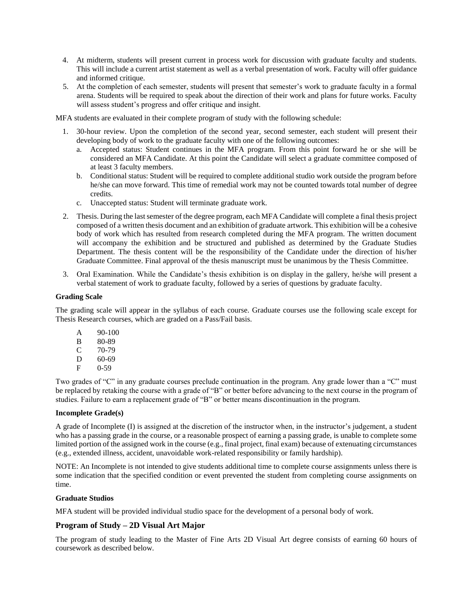- 4. At midterm, students will present current in process work for discussion with graduate faculty and students. This will include a current artist statement as well as a verbal presentation of work. Faculty will offer guidance and informed critique.
- 5. At the completion of each semester, students will present that semester's work to graduate faculty in a formal arena. Students will be required to speak about the direction of their work and plans for future works. Faculty will assess student's progress and offer critique and insight.

MFA students are evaluated in their complete program of study with the following schedule:

- 1. 30-hour review. Upon the completion of the second year, second semester, each student will present their developing body of work to the graduate faculty with one of the following outcomes:
	- a. Accepted status: Student continues in the MFA program. From this point forward he or she will be considered an MFA Candidate. At this point the Candidate will select a graduate committee composed of at least 3 faculty members.
	- b. Conditional status: Student will be required to complete additional studio work outside the program before he/she can move forward. This time of remedial work may not be counted towards total number of degree credits.
	- c. Unaccepted status: Student will terminate graduate work.
- 2. Thesis. During the last semester of the degree program, each MFA Candidate will complete a final thesis project composed of a written thesis document and an exhibition of graduate artwork. This exhibition will be a cohesive body of work which has resulted from research completed during the MFA program. The written document will accompany the exhibition and be structured and published as determined by the Graduate Studies Department. The thesis content will be the responsibility of the Candidate under the direction of his/her Graduate Committee. Final approval of the thesis manuscript must be unanimous by the Thesis Committee.
- 3. Oral Examination. While the Candidate's thesis exhibition is on display in the gallery, he/she will present a verbal statement of work to graduate faculty, followed by a series of questions by graduate faculty.

#### **Grading Scale**

The grading scale will appear in the syllabus of each course. Graduate courses use the following scale except for Thesis Research courses, which are graded on a Pass/Fail basis.

A 90-100 B 80-89 C 70-79 D 60-69 F 0-59

Two grades of "C" in any graduate courses preclude continuation in the program. Any grade lower than a "C" must be replaced by retaking the course with a grade of "B" or better before advancing to the next course in the program of studies. Failure to earn a replacement grade of "B" or better means discontinuation in the program.

#### **Incomplete Grade(s)**

A grade of Incomplete (I) is assigned at the discretion of the instructor when, in the instructor's judgement, a student who has a passing grade in the course, or a reasonable prospect of earning a passing grade, is unable to complete some limited portion of the assigned work in the course (e.g., final project, final exam) because of extenuating circumstances (e.g., extended illness, accident, unavoidable work-related responsibility or family hardship).

NOTE: An Incomplete is not intended to give students additional time to complete course assignments unless there is some indication that the specified condition or event prevented the student from completing course assignments on time.

### **Graduate Studios**

MFA student will be provided individual studio space for the development of a personal body of work.

## **Program of Study – 2D Visual Art Major**

The program of study leading to the Master of Fine Arts 2D Visual Art degree consists of earning 60 hours of coursework as described below.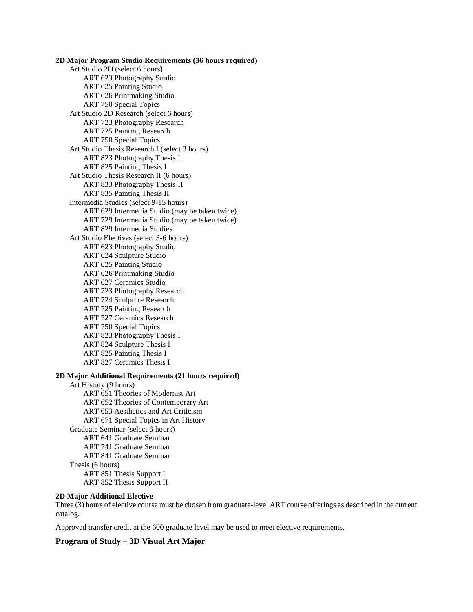**2D Major Program Studio Requirements (36 hours required)** Art Studio 2D (select 6 hours) ART 623 Photography Studio ART 625 Painting Studio ART 626 Printmaking Studio ART 750 Special Topics Art Studio 2D Research (select 6 hours) ART 723 Photography Research ART 725 Painting Research ART 750 Special Topics Art Studio Thesis Research I (select 3 hours) ART 823 Photography Thesis I ART 825 Painting Thesis I Art Studio Thesis Research II (6 hours) ART 833 Photography Thesis II ART 835 Painting Thesis II Intermedia Studies (select 9-15 hours) ART 629 Intermedia Studio (may be taken twice) ART 729 Intermedia Studio (may be taken twice) ART 829 Intermedia Studies Art Studio Electives (select 3-6 hours) ART 623 Photography Studio ART 624 Sculpture Studio ART 625 Painting Studio ART 626 Printmaking Studio ART 627 Ceramics Studio ART 723 Photography Research ART 724 Sculpture Research ART 725 Painting Research ART 727 Ceramics Research ART 750 Special Topics ART 823 Photography Thesis I ART 824 Sculpture Thesis I ART 825 Painting Thesis I ART 827 Ceramics Thesis I **2D Major Additional Requirements (21 hours required)**

Art History (9 hours) ART 651 Theories of Modernist Art ART 652 Theories of Contemporary Art ART 653 Aesthetics and Art Criticism ART 671 Special Topics in Art History Graduate Seminar (select 6 hours) ART 641 Graduate Seminar ART 741 Graduate Seminar ART 841 Graduate Seminar Thesis (6 hours) ART 851 Thesis Support I ART 852 Thesis Support II

### **2D Major Additional Elective**

Three (3) hours of elective course must be chosen from graduate-level ART course offerings as described in the current catalog.

Approved transfer credit at the 600 graduate level may be used to meet elective requirements.

### **Program of Study – 3D Visual Art Major**